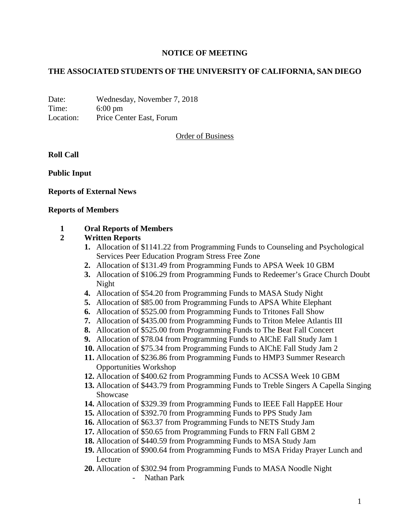# **NOTICE OF MEETING**

# **THE ASSOCIATED STUDENTS OF THE UNIVERSITY OF CALIFORNIA, SAN DIEGO**

Date: Wednesday, November 7, 2018 Time: 6:00 pm Location: Price Center East, Forum

Order of Business

**Roll Call**

**Public Input**

## **Reports of External News**

#### **Reports of Members**

## **1 Oral Reports of Members**

#### **2 Written Reports**

- **1.** Allocation of \$1141.22 from Programming Funds to Counseling and Psychological Services Peer Education Program Stress Free Zone
- **2.** Allocation of \$131.49 from Programming Funds to APSA Week 10 GBM
- **3.** Allocation of \$106.29 from Programming Funds to Redeemer's Grace Church Doubt Night
- **4.** Allocation of \$54.20 from Programming Funds to MASA Study Night
- **5.** Allocation of \$85.00 from Programming Funds to APSA White Elephant
- **6.** Allocation of \$525.00 from Programming Funds to Tritones Fall Show
- **7.** Allocation of \$435.00 from Programming Funds to Triton Melee Atlantis III
- **8.** Allocation of \$525.00 from Programming Funds to The Beat Fall Concert
- **9.** Allocation of \$78.04 from Programming Funds to AIChE Fall Study Jam 1
- **10.** Allocation of \$75.34 from Programming Funds to AIChE Fall Study Jam 2
- **11.** Allocation of \$236.86 from Programming Funds to HMP3 Summer Research Opportunities Workshop
- **12.** Allocation of \$400.62 from Programming Funds to ACSSA Week 10 GBM
- **13.** Allocation of \$443.79 from Programming Funds to Treble Singers A Capella Singing Showcase
- **14.** Allocation of \$329.39 from Programming Funds to IEEE Fall HappEE Hour
- **15.** Allocation of \$392.70 from Programming Funds to PPS Study Jam
- **16.** Allocation of \$63.37 from Programming Funds to NETS Study Jam
- **17.** Allocation of \$50.65 from Programming Funds to FRN Fall GBM 2
- **18.** Allocation of \$440.59 from Programming Funds to MSA Study Jam
- **19.** Allocation of \$900.64 from Programming Funds to MSA Friday Prayer Lunch and Lecture
- **20.** Allocation of \$302.94 from Programming Funds to MASA Noodle Night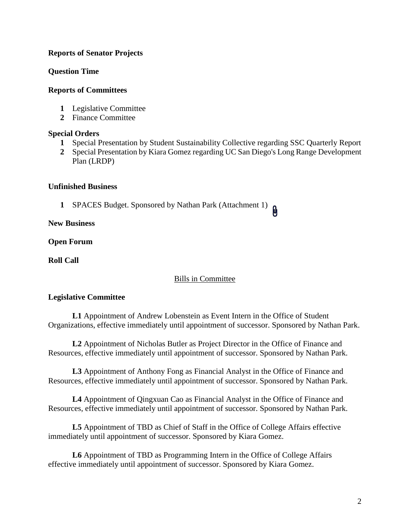# **Reports of Senator Projects**

## **Question Time**

## **Reports of Committees**

- **1** Legislative Committee
- **2** Finance Committee

## **Special Orders**

- **1** Special Presentation by Student Sustainability Collective regarding SSC Quarterly Report
- **2** Special Presentation by Kiara Gomez regarding UC San Diego's Long Range Development Plan (LRDP)

## **Unfinished Business**

**1** SPACES Budget. Sponsored by Nathan Park (Attachment 1)

**New Business**

**Open Forum**

**Roll Call**

## Bills in Committee

## **Legislative Committee**

**L1** Appointment of Andrew Lobenstein as Event Intern in the Office of Student Organizations, effective immediately until appointment of successor. Sponsored by Nathan Park.

**L2** Appointment of Nicholas Butler as Project Director in the Office of Finance and Resources, effective immediately until appointment of successor. Sponsored by Nathan Park.

**L3** Appointment of Anthony Fong as Financial Analyst in the Office of Finance and Resources, effective immediately until appointment of successor. Sponsored by Nathan Park.

**L4** Appointment of Qingxuan Cao as Financial Analyst in the Office of Finance and Resources, effective immediately until appointment of successor. Sponsored by Nathan Park.

**L5** Appointment of TBD as Chief of Staff in the Office of College Affairs effective immediately until appointment of successor. Sponsored by Kiara Gomez.

**L6** Appointment of TBD as Programming Intern in the Office of College Affairs effective immediately until appointment of successor. Sponsored by Kiara Gomez.